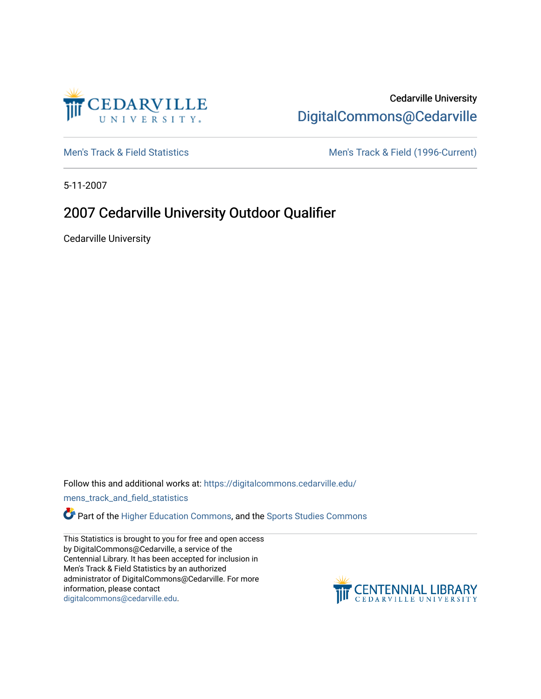

## Cedarville University [DigitalCommons@Cedarville](https://digitalcommons.cedarville.edu/)

[Men's Track & Field Statistics](https://digitalcommons.cedarville.edu/mens_track_and_field_statistics) [Men's Track & Field \(1996-Current\)](https://digitalcommons.cedarville.edu/mens_track_and_field) 

5-11-2007

## 2007 Cedarville University Outdoor Qualifier

Cedarville University

Follow this and additional works at: [https://digitalcommons.cedarville.edu/](https://digitalcommons.cedarville.edu/mens_track_and_field_statistics?utm_source=digitalcommons.cedarville.edu%2Fmens_track_and_field_statistics%2F178&utm_medium=PDF&utm_campaign=PDFCoverPages)

[mens\\_track\\_and\\_field\\_statistics](https://digitalcommons.cedarville.edu/mens_track_and_field_statistics?utm_source=digitalcommons.cedarville.edu%2Fmens_track_and_field_statistics%2F178&utm_medium=PDF&utm_campaign=PDFCoverPages)

Part of the [Higher Education Commons,](http://network.bepress.com/hgg/discipline/1245?utm_source=digitalcommons.cedarville.edu%2Fmens_track_and_field_statistics%2F178&utm_medium=PDF&utm_campaign=PDFCoverPages) and the Sports Studies Commons

This Statistics is brought to you for free and open access by DigitalCommons@Cedarville, a service of the Centennial Library. It has been accepted for inclusion in Men's Track & Field Statistics by an authorized administrator of DigitalCommons@Cedarville. For more information, please contact [digitalcommons@cedarville.edu](mailto:digitalcommons@cedarville.edu).

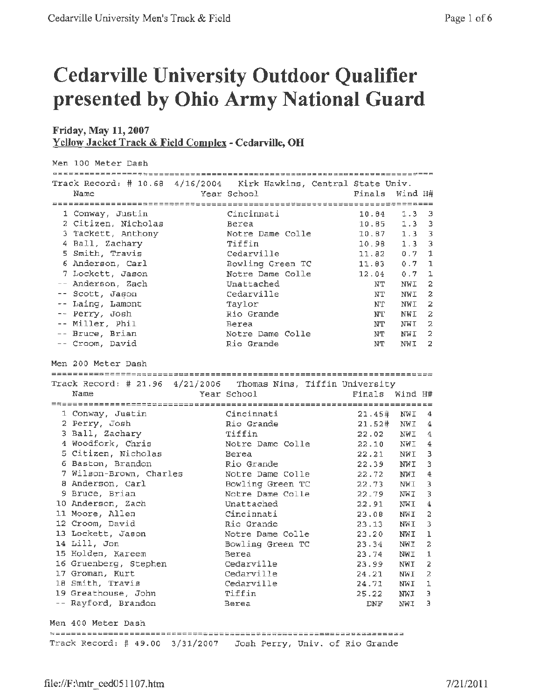## **Cedarville University Outdoor Qualifier presented by Ohio Army National Guard**

## **Friday, May 11, 2007 Y cllow Jacket Track** & **Field Complex** - **Cedarville, OH**

| Men 100 Meter Dash |                                                                   |                                 |                |                  |                |
|--------------------|-------------------------------------------------------------------|---------------------------------|----------------|------------------|----------------|
|                    |                                                                   |                                 |                |                  |                |
|                    | Track Record: # 10.68 4/16/2004 Kirk Hawkins, Central State Univ. |                                 |                |                  |                |
|                    | Name                                                              | Year School                     | Finals Wind H# |                  |                |
|                    |                                                                   |                                 |                |                  |                |
|                    | 1 Conway, Justin                                                  | Cincinnati                      | 10.04          | $1.3 \quad 3$    |                |
|                    | 2 Citizen, Nicholas                                               | Berea                           | 10.85          | 1.3 <sup>3</sup> |                |
|                    | 3 Tackett, Anthony                                                | Notre Dame Colle                | 10.87          | $1.3 - 3$        |                |
|                    | 4 Ball, Zachary                                                   | Tiffin                          | 10.98          | $1.3 - 3$        |                |
|                    | 5 Smith, Travis                                                   | Cedarville                      | 11.82          | 0.7              | $\mathbf{1}$   |
|                    | 6 Anderson, Carl                                                  | Bowling Green TC                | 11.03          | 0.7              | 1              |
|                    | 7 Lockett, Jason                                                  | Notre Dame Colle                | 12.04          | 0.7              | ı              |
|                    | -- Anderson, Zach                                                 | Unattached                      | NT             | NWI              | 2              |
|                    | -- Scott, Jason                                                   | Cedarville                      | NT             | NWI              | $\overline{z}$ |
|                    | -- Laing, Lamont                                                  | Taylor                          | NΤ             | NWI              | $\overline{2}$ |
|                    | -- Perry, Josh                                                    | Rio Grande                      | NT             | NWI              | 2              |
|                    | -- Miller, Phil                                                   | Berea                           | NT             | NWI              | 2              |
|                    | -- Bruce, Brian                                                   | Notre Dame Colle                | NT             | NWI              | 2              |
|                    | -- Croom, David                                                   | Rio Grande                      | NT             | NWI              | 2              |
|                    |                                                                   |                                 |                |                  |                |
|                    | Men 200 Meter Dash                                                |                                 |                |                  |                |
|                    |                                                                   |                                 |                |                  |                |
|                    | Track Record: # 21.96 4/21/2006 Thomas Nims, Tiffin University    |                                 |                |                  |                |
|                    | Name                                                              | Year School                     | Finals Wind H# |                  |                |
|                    |                                                                   |                                 |                |                  |                |
|                    | 1 Conway, Justin                                                  | Cincinnati                      | 21.45#         | NWI              | - 4            |
|                    | 2 Perry, Josh                                                     | Rio Grande                      | 21.52#         | NWI              | 4              |
|                    | 3 Ball, Zachary                                                   | Tiffin                          | 22.02          | NWI              | 4              |
|                    | 4 Woodfork, Chris                                                 | Notre Dame Colle                | 22.10          | NWI              | $\frac{4}{1}$  |
|                    | 5 Citizen, Nicholas                                               | Berea                           | 22.21          | NWI 3            |                |
|                    | 6 Baston, Brandon                                                 | Rio Grande                      | 22.39          | NWI              | $\overline{3}$ |
|                    | 7 Wilson-Brown, Charles                                           | Notre Dame Colle                | 22.72          | NWI              | 4              |
|                    | 8 Anderson, Carl                                                  | Bowling Green TC                | 22.73          | NWI              | 3              |
|                    | 9 Bruce, Brian                                                    | Notre Dame Colle                | 22.79          | NWI              | 3              |
|                    | 10 Anderson, Zach                                                 | Unattached                      | 22.91          | NWI              | 4              |
|                    | 11 Moore, Allen                                                   | Cincinnati                      | 23.08          | NWI              | 2              |
|                    | 12 Croom, David                                                   | Rio Grande                      | 23.13          | NWI              | 3              |
|                    | 13 Lockett, Jason                                                 | Notre Dame Colle                | 23.20          | NWI              | 1              |
|                    | 14 Lill, Jon                                                      | Bowling Green TC                | 23.34          | NWI              | $\overline{z}$ |
|                    | 15 Holden, Kareem                                                 | Berea                           | 23.74          | NWI 1            |                |
|                    | 16 Gruenberg, Stephen                                             | Cedarville                      | 23.99          | NWI              | 2              |
|                    | 17 Groman, Kurt                                                   | Cedarville                      | 24.21          | NWI              | 2              |
|                    | 18 Smith, Travis                                                  | Cedarville                      | 24.71          | NWI              | ı              |
|                    | 19 Greathouse, John                                               | Tiffin                          | 25.22          | NWI              | Э              |
|                    |                                                                   |                                 |                |                  | Э              |
|                    |                                                                   |                                 |                |                  |                |
|                    | -- Rayford, Brandon                                               | Berea                           | DNF            | NWI              |                |
|                    |                                                                   |                                 |                |                  |                |
|                    | Men 400 Meter Dash                                                |                                 |                |                  |                |
|                    | Track Record: # 49.00 3/31/2007                                   | Josh Perry, Univ. of Rio Grande |                |                  |                |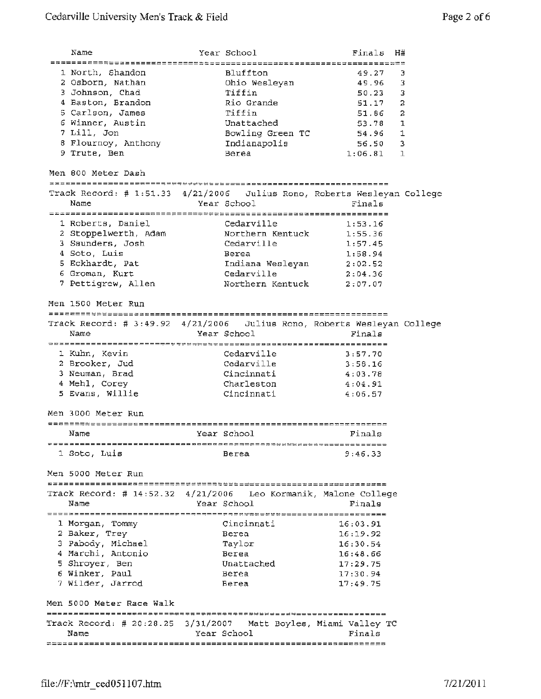Name Year school Finals **H#**  1 North, Shandon Bluffton 49.27 3 <sup>2</sup>Osborn, Nathan Ohio Wesleyan 49.96 <sup>3</sup> 3 Johnson, Chad Tiffin 50.23 3 **<sup>4</sup>**Baston, Brandon Rio Grande 51.17 2 5 Carlson, James Tiffin 51.86 2 6 Winner, Austin Unattached 53.78 1 7 Lill, Jon Bowling Green **TC** 54. 96 1 8 Flournoy, Anthony Indianapolis 56.50 3 9 Trute, Ben 1:06.81 1 Men 800 Meter Dash ::==========-------------------------:================---------- Track Record:# 1:51.33 4/21/2006 Julius Rone, Roberts Wesleyan College Name **Year School** Finals 1 Roberts, Daniel **1:53.16** Cedarville 1:53.16 <sup>2</sup>Stoppelwerth, Adam Northern Kentuck 1:55.36 3 Saunders, Josh Cedarville 1:57.45 <sup>4</sup>Soto, Luis Berea 1:58.94 <sup>5</sup>Eckhardt, Pat Indiana Wesleyan 2:02.52 6 Groman, Kurt Cedarville 2:04.36 7 Pettigrew, Allen 1988 Northern Kentuck 2:07.07 Men 1500 Meter Run Track Record:# 3:49.92 4/21/2006 Julius Rona, Roberts Wesleyan College Name Year School Finals 1 Kuhn, Kevin Cedarville 3:57.70 2 Brooker, Jud Cedarville 3:58.16 <sup>3</sup>Neuman, Brad Cincinnati 4:03.78 4 Mehl, Corey Charleston 4:04.91 5 Evans, Willie Cincinnati 4:06.57 Men 3000 Meter Run Name Year School Finals l Soto, Luis Berea 9:46.33 Men 5000 Meter Run Track Record: # 14:52.32 4/21/2006 Leo Kormanik, Malone college Name **Year School** Finals 1 Morgan, Tommy Cincinnati 16:03.91 2 Baker, Trey 16:19.92 3 Pabody, Michael Taylor 16:30.54 4 Marchi, Antonio **16:48.66** 5 Shroyer, Ben Unattached 17:29.75 <sup>6</sup>Winker, Paul Berea 17:30.94 7 Wilder, Jarrod Berea 17:49.75 Men 5000 Meter Race Walk Track Record: # 20:28.25 3/31/2007 Matt Boyles, Miami valley TC Name **Year School** Finals *;:============================================================~=*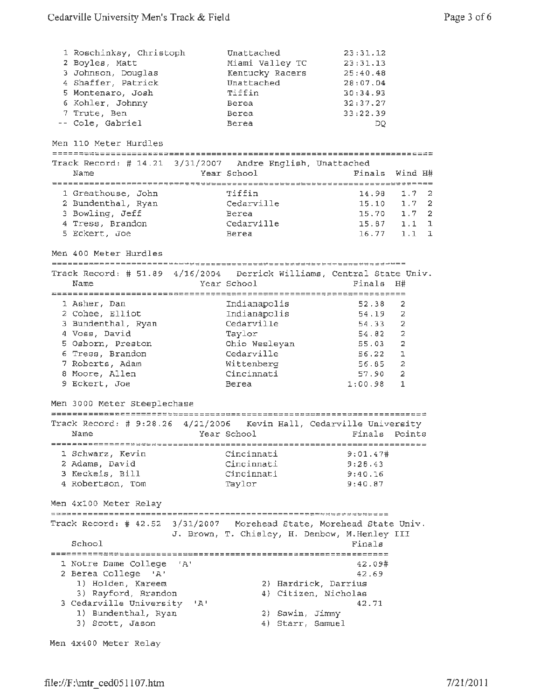| 1 Roschinksy, Christoph                                                                                  | Unattached                                    | 23:31.12        |                |
|----------------------------------------------------------------------------------------------------------|-----------------------------------------------|-----------------|----------------|
| 2 Boyles, Matt                                                                                           | Miami Valley TC                               | 23:31.13        |                |
| 3 Johnson, Douglas                                                                                       | Kentucky Racers                               | 25:40.48        |                |
| 4 Shaffer, Patrick                                                                                       | Unattached                                    | 28:07.04        |                |
| 5 Montenaro, Josh                                                                                        | Tiffin                                        | 30:34.93        |                |
| 6 Kohler, Johnny                                                                                         | Berea                                         | 32:37.27        |                |
| 7 Trute, Ben                                                                                             | Berea                                         | 33:22.39        |                |
| -- Cole, Gabriel                                                                                         | Berea                                         | DQ              |                |
|                                                                                                          |                                               |                 |                |
| Men 110 Meter Hurdles                                                                                    |                                               |                 |                |
|                                                                                                          |                                               |                 |                |
| Track Record: # 14.21 3/31/2007 Andre English, Unattached                                                |                                               |                 |                |
| Name                                                                                                     | Year School                                   | Finals          | Wind H#        |
|                                                                                                          |                                               |                 |                |
| 1 Greathouse, John                                                                                       | Tiffin                                        | 14.98           | 1.7<br>-2      |
| 2 Bundenthal, Ryan                                                                                       | Cedarville                                    | $15.10$ $1.7$ 2 |                |
| 3 Bowling, Jeff                                                                                          | Berea                                         | 15.70 1.7 2     |                |
| 4 Tress, Brandon                                                                                         | Cedarville                                    | 15.87           | $1.1 \quad 1$  |
| 5 Eckert, Joe                                                                                            | Berea                                         | $16.77$ 1.1     | ı              |
| Men 400 Meter Hurdles                                                                                    |                                               |                 |                |
|                                                                                                          |                                               |                 |                |
| Track Record: # 51.89 4/16/2004 Derrick Williams, Central State Univ.                                    |                                               |                 |                |
| Name                                                                                                     | Year School                                   | Finals          | Η#             |
|                                                                                                          |                                               |                 |                |
| 1 Asher, Dan                                                                                             | Indianapolis                                  | 52.38           | 2              |
| 2 Cohee, Elliot                                                                                          | Indianapolis                                  | 54.19           | 2              |
| 3 Bundenthal, Ryan                                                                                       | Cedarville                                    | 54.33           | 2              |
| 4 Voss, David                                                                                            | Taylor                                        | 54.82           | $\overline{2}$ |
| 5 Osborn, Preston                                                                                        | Ohio Wesleyan                                 | 55.03           | $\overline{2}$ |
| 6 Tress, Brandon                                                                                         | Cedarville                                    | 56.22           | $\mathbf 1$    |
| 7 Roberts, Adam                                                                                          | Wittenberg                                    | 56.85           | $\overline{a}$ |
| 8 Moore, Allen                                                                                           | Cincinnati                                    | 57.90           | 2              |
| 9 Eckert, Joe                                                                                            | Berea                                         | 1:00.98         | 1              |
|                                                                                                          |                                               |                 |                |
| Men 3000 Meter Steeplechase                                                                              |                                               |                 |                |
|                                                                                                          |                                               |                 |                |
| Track Record: # 9:28.26 4/21/2006 Kevin Hall, Cedarville University                                      |                                               |                 |                |
| Name                                                                                                     | Year School                                   | Finals Points   |                |
|                                                                                                          |                                               |                 |                |
| 1 Schwarz, Kevin                                                                                         | Cincinnati                                    | 9:01.47#        |                |
| 2 Adams, David                                                                                           | Cincinnati                                    | 9:28.43         |                |
| 3 Keckeis, Bill                                                                                          | Cincinnati                                    | 9:40.16         |                |
| 4 Robertson, Tom                                                                                         | Taylor                                        | 9:40.87         |                |
| Men 4x100 Meter Relay                                                                                    |                                               |                 |                |
| ________________________________<br>Track Record: # 42.52 3/31/2007 Morehead State, Morehead State Univ. |                                               |                 |                |
|                                                                                                          | J. Brown, T. Chisley, H. Denbow, M.Henley III |                 |                |
| School                                                                                                   |                                               | Finals          |                |
|                                                                                                          |                                               |                 |                |
| 1 Notre Dame College<br>'A'                                                                              |                                               | 42.09#          |                |
| 2 Berea College                                                                                          |                                               | 42.69           |                |
| י בי                                                                                                     |                                               |                 |                |
| 1) Holden, Kareem                                                                                        | 2) Hardrick, Darrius                          |                 |                |
| 3) Rayford, Brandon                                                                                      | 4) Citizen, Nicholas                          |                 |                |
| 3 Cedarville University 'A'                                                                              |                                               | 42.71           |                |
| 1) Bundenthal, Ryan                                                                                      | 2) Sawin, Jimmy                               |                 |                |
| 3) Scott, Jason                                                                                          | 4) Starr, Samuel                              |                 |                |

Men 4x400 Meter Relay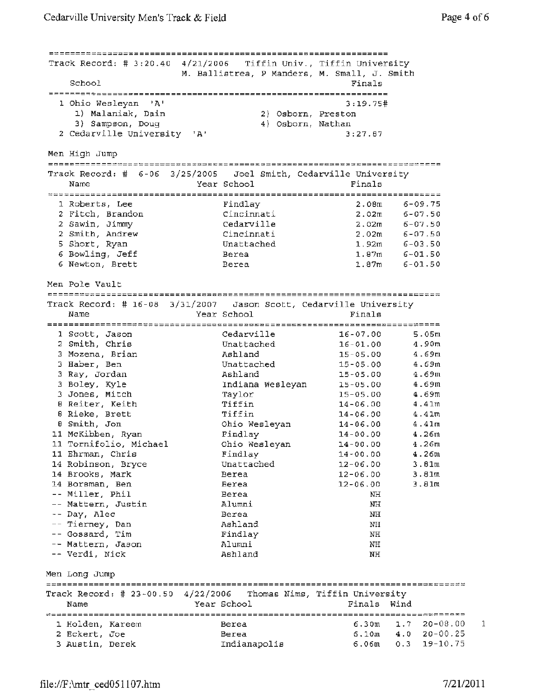Track Record: # 3:20.40 4/21/2006 Tiffin Univ., Tiffin University M. Ballistrea, P Manders, M. Small, J. Smith School Finals **1** Ohio Wesleyan 'A' 3:19.75# 1) Malaniak, Dain 2) Osborn, Preston 3) Sampson, Doug 4) Osborn, Nathan <sup>2</sup>Cedarville University 'A' 3:27.87 Men High Jump Track Record:# 6-06 3/25/2005 Joel Smith, Cedarville University Name **Year School** Finals 1 Roberts, Lee Findlay 2.0Bm 6-09.75 2 Fitch, Brandon Cincinnati 2.02m 6-07.50 2 Sawin, Jimmy Cedarville 2.02m 6-07.50 <sup>2</sup>Smith, Andrew Cincinnati 2.02m 6-07.50 5 Short, Ryan unattached 1.92m 6-03.50 e envery s<sub>in</sub> and the contractions of the contractions of the contraction of the contraction of the contraction of the Berea of the 1.87m 6-01.50 contraction of the contraction of the Berea of the contraction of the contr 6 Newton, Brett Berea 1.87m 6-01.50 Men Pole Vault Track Record: # 16-08 3/31/2007 Jason Scott, Cedarville University Name **Name School Finals** 1 Scott, Jason Cedarville 16-07.00 5.05m <sup>2</sup>Smith, Chris Unattached 16-01.00 4.90m 3 Mozena, Brian Ashland 15-05.00 4.69m <sup>3</sup>Haber, Ben Unattached 15-05.00 4.69m 3 Ray, Jordan Ashland 15-05.00 4.69m 3 Boley, Kyle Indiana Wesleyan 15-05.00 4.69m 3 Jones, Mitch Taylor 15-05.00 4.69m e control control control control control control control control control control control control control control control control control control control control control control control control control control control cont e experience and the contract of the contract of the second intervals of the contract of the contract of the contract of the contract of the contract of the contract of the contract of the contract of the contract of the c <sup>8</sup>Smith, Jon Ohio Wesleyan 14-06.00 4.41m 11 McKibben, Ryan Findlay 14-00.00 4.26m 11 Tornifolio, Michael Ohio Wesleyan 14-00.00 4.26m 11 Ehrman, Chris Findlay 14-00.00 4.26m 14 Robinson, Bryce Unattached 12-06.00 3.81m 14 Brooks, Mark Berea 12-06.00 3.81m 14 Borsman, Ben Berea 12-06.00 3.81m Miller, Phil Berea NH mattern, Justin (1989)<br>Mattern, Justin (1989) Alumni (1989) NH Day, Alec Berea NH Tierney, Dan MH Ashland NH Gossard, Tim Findlay Findlay NH Mattern, Jason NH Alumni NH Verdi, Nick ashland NH Men Long Jump =======================================================================;===-~~~ Track Record:# 23-00.50 4/22/2006 Thomas Nims, Tiffin University Name Year School Finals Wind *~;=====================================================================~~~=====*  1.7 20-08,00 1 Holden, Kareem Berea 6.30m <sup>2</sup>Eckert, Joe 4.0 20-00.25 Berea 6.10m Indianapolis 6.06m 0.3 19-10.75 3 Austin, Derek

1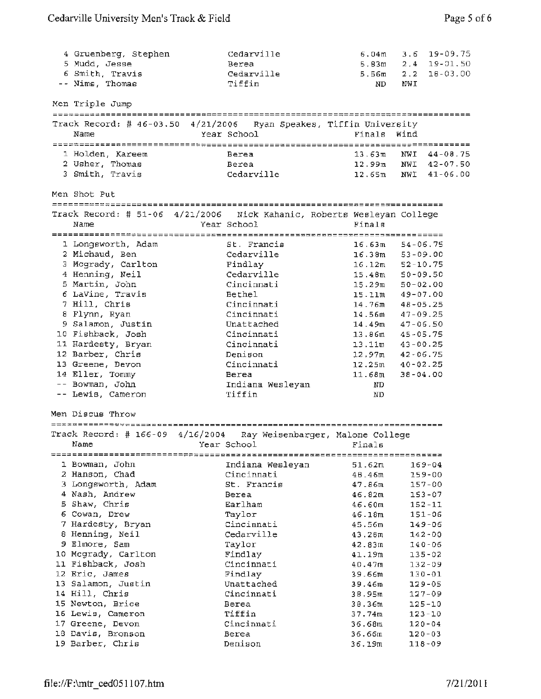| 4 Gruenberg, Stephen                                                   | Cedarville                         | 6.04 <sub>m</sub> | $3.6$ 19-09.75       |
|------------------------------------------------------------------------|------------------------------------|-------------------|----------------------|
| 5 Mudd, Jesse                                                          | Berea                              | 5.83m             | $2.4$ 19-01.50       |
| 6 Smith, Travis                                                        | Cedarville                         | 5.56m             | $2.2 \quad 18-03.00$ |
| -- Nims, Thomas                                                        | Tiffin                             | ND                | NWI                  |
|                                                                        |                                    |                   |                      |
| Men Triple Jump                                                        |                                    |                   |                      |
| Track Record: # 46-03.50 4/21/2006 Ryan Speakes, Tiffin University     |                                    |                   |                      |
| Name                                                                   | Year School                        | Finals Wind       |                      |
|                                                                        |                                    |                   |                      |
| 1 Holden, Kareem                                                       | Berea                              | 13.63m            | NWT 44-08.75         |
| 2 Usher, Thomas                                                        | Berea                              | $12.99$ m         | NWI 42-07.50         |
| 3 Smith, Travis                                                        | Cedarville                         | 12.65m            | NWI 41-06.00         |
|                                                                        |                                    |                   |                      |
| Men Shot Put                                                           |                                    |                   |                      |
| ======================================                                 | ---------------------------------- |                   |                      |
| Track Record: # 51-06 4/21/2006 Nick Kahanic, Roberts Wesleyan College |                                    |                   |                      |
| Name                                                                   | Year School                        | Finals            |                      |
|                                                                        |                                    |                   |                      |
| 1 Longsworth, Adam                                                     | St. Francis                        | 16.63m            | $54 - 06.75$         |
| 2 Michaud, Ben                                                         | Cedarville                         | 16.38m            | $53 - 09.00$         |
| 3 Mcgrady, Carlton                                                     | Findlay                            | 16.12m            | $52 - 10.75$         |
| 4 Henning, Neil                                                        | Cedarville                         | 15.48m            | $50 - 09.50$         |
| 5 Martin, John                                                         | Cincinnati                         | 15.29m            | $50 - 02.00$         |
| 6 LaVine, Travis                                                       | Bethel                             | 15.11m            | $49 - 07.00$         |
| 7 Hill, Chris                                                          | Cincinnati                         | 14.76m            | $48 - 05.25$         |
| 8 Flynn, Ryan                                                          | Cincinnati                         | 14.56m            | $47 - 09.25$         |
| 9 Salamon, Justin                                                      | Unattached                         | 14.49m            | $47 - 06.50$         |
| 10 Fishback, Josh                                                      | Cincinnati                         | 13.86m            | $45 - 05.75$         |
| 11 Hardesty, Bryan                                                     | Cincinnati                         | 13.11m            | $43 - 00.25$         |
| 12 Barber, Chris                                                       | Denison                            | 12,97m            | $42 - 06.75$         |
| 13 Greene, Devon                                                       | Cincinnati                         | 12.25m            | $40 - 02.25$         |
| 14 Eller, Tommy                                                        | Berea                              | 11.68m            | $38 - 04.00$         |
| -- Bowman, John                                                        | Indiana Wesleyan                   | ND.               |                      |
| -- Lewis, Cameron                                                      | Tiffin                             | ND.               |                      |
| Men Discus Throw                                                       |                                    |                   |                      |
|                                                                        |                                    |                   |                      |
| Track Record: $\#$ 166-09 4/16/2004                                    | Ray Weisenbarger, Malone College   |                   |                      |
| Name                                                                   | Year School                        | Finals            |                      |
|                                                                        |                                    |                   |                      |
| 1 Bowman, John                                                         | Indiana Wesleyan                   | 51.62m            | 169-04               |
| 2 Hanson, Chad                                                         | Cincinnati                         | 48.46m            | 159-00               |
| 3 Longsworth, Adam                                                     | St. Francis                        | 47.86m            | $157 - 00$           |
| 4 Nash, Andrew                                                         | Berea                              | 46.82m            | 153-07               |
| 5 Shaw, Chris                                                          | Earlham                            | 46.60m            | $152 - 11$           |
|                                                                        |                                    |                   |                      |
| 6 Cowan, Drew                                                          | Taylor                             | 46.18m            | 151-06               |
| 7 Hardesty, Bryan                                                      | Cincinnati                         | 45.56m            | 149-06               |
| 8 Henning, Neil                                                        | Cedarville                         | 43.28m            | 142-00               |
| 9 Elmore, Sam                                                          | Taylor                             | 42.83m            | $140 - 06$           |
| 10 Mcgrady, Carlton                                                    | Findlay                            | 41.19m            | 135-02               |
| 11 Fishback, Josh                                                      | Cincinnati                         | 40.47m            | 132-09               |
| 12 Eric, James                                                         | Findlay                            | 39.66m            | $130 - 01$           |
| 13 Salamon, Justin                                                     | Unattached                         | 39.46m            | $129 - 05$           |
| 14 Hill, Chris                                                         | Cincinnati                         | 38.95m            | $127 - 09$           |
| 15 Newton, Brice                                                       | Berea                              | 38.36m            | $125 - 10$           |
| 16 Lewis, Cameron                                                      | Tiffin                             | 37.74m            | $123 - 10$           |
| 17 Greene, Devon                                                       | Cincinnati                         | 36.68m            | $120 - 04$           |
| 18 Davis, Bronson                                                      | Berea                              | 36.66m            | $120 - 03$           |
| 19 Barber, Chris                                                       | Denison                            | 36.19m            | 118-09               |